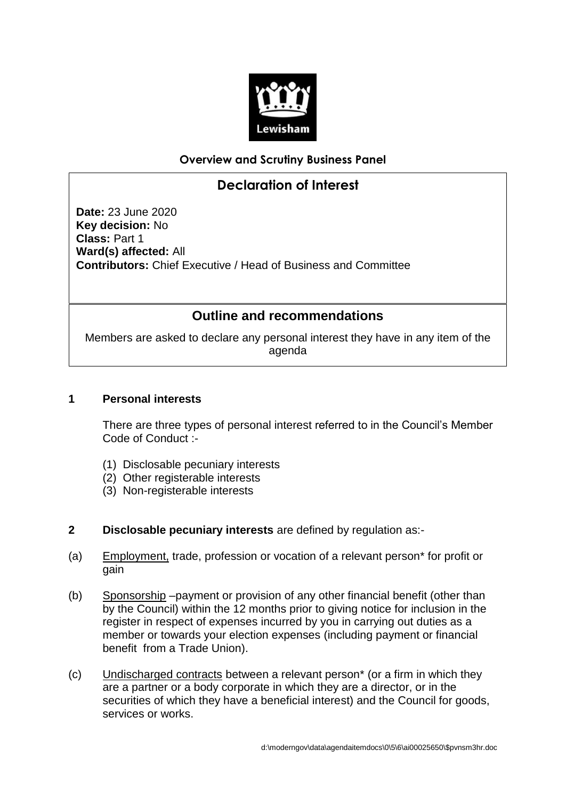

### **Overview and Scrutiny Business Panel**

# **Declaration of Interest**

**Date:** 23 June 2020 **Key decision:** No **Class:** Part 1 **Ward(s) affected:** All **Contributors:** Chief Executive / Head of Business and Committee

## **Outline and recommendations**

Members are asked to declare any personal interest they have in any item of the agenda

#### **1 Personal interests**

There are three types of personal interest referred to in the Council's Member Code of Conduct :-

- (1) Disclosable pecuniary interests
- (2) Other registerable interests
- (3) Non-registerable interests
- **2 Disclosable pecuniary interests** are defined by regulation as:-
- (a) Employment, trade, profession or vocation of a relevant person\* for profit or gain
- (b) Sponsorship –payment or provision of any other financial benefit (other than by the Council) within the 12 months prior to giving notice for inclusion in the register in respect of expenses incurred by you in carrying out duties as a member or towards your election expenses (including payment or financial benefit from a Trade Union).
- (c) Undischarged contracts between a relevant person\* (or a firm in which they are a partner or a body corporate in which they are a director, or in the securities of which they have a beneficial interest) and the Council for goods, services or works.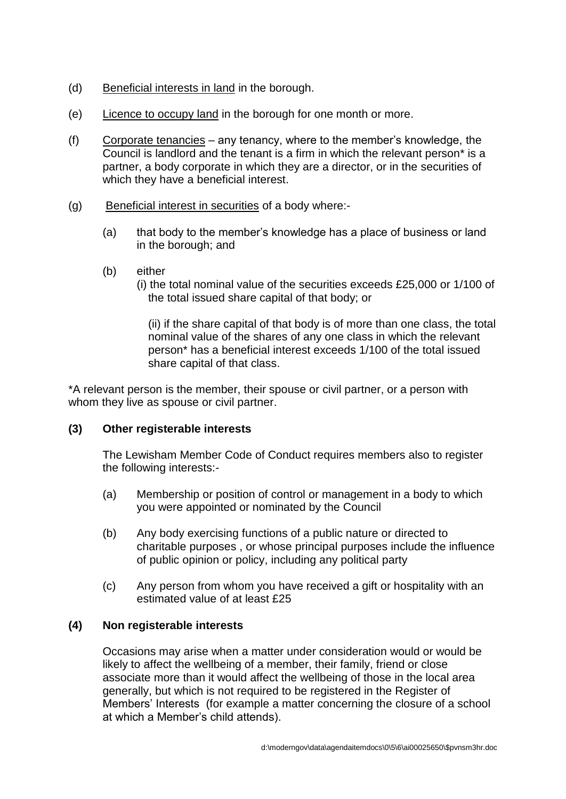- (d) Beneficial interests in land in the borough.
- (e) Licence to occupy land in the borough for one month or more.
- (f) Corporate tenancies any tenancy, where to the member's knowledge, the Council is landlord and the tenant is a firm in which the relevant person\* is a partner, a body corporate in which they are a director, or in the securities of which they have a beneficial interest.
- (g) Beneficial interest in securities of a body where:-
	- (a) that body to the member's knowledge has a place of business or land in the borough; and
	- (b) either
		- (i) the total nominal value of the securities exceeds £25,000 or 1/100 of the total issued share capital of that body; or

(ii) if the share capital of that body is of more than one class, the total nominal value of the shares of any one class in which the relevant person\* has a beneficial interest exceeds 1/100 of the total issued share capital of that class.

\*A relevant person is the member, their spouse or civil partner, or a person with whom they live as spouse or civil partner.

#### **(3) Other registerable interests**

The Lewisham Member Code of Conduct requires members also to register the following interests:-

- (a) Membership or position of control or management in a body to which you were appointed or nominated by the Council
- (b) Any body exercising functions of a public nature or directed to charitable purposes , or whose principal purposes include the influence of public opinion or policy, including any political party
- (c) Any person from whom you have received a gift or hospitality with an estimated value of at least £25

#### **(4) Non registerable interests**

Occasions may arise when a matter under consideration would or would be likely to affect the wellbeing of a member, their family, friend or close associate more than it would affect the wellbeing of those in the local area generally, but which is not required to be registered in the Register of Members' Interests (for example a matter concerning the closure of a school at which a Member's child attends).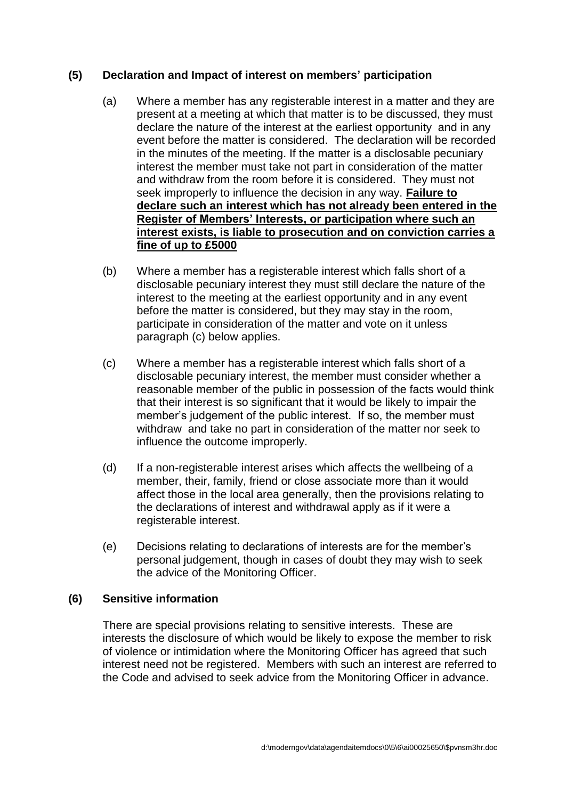#### **(5) Declaration and Impact of interest on members' participation**

- (a) Where a member has any registerable interest in a matter and they are present at a meeting at which that matter is to be discussed, they must declare the nature of the interest at the earliest opportunity and in any event before the matter is considered. The declaration will be recorded in the minutes of the meeting. If the matter is a disclosable pecuniary interest the member must take not part in consideration of the matter and withdraw from the room before it is considered. They must not seek improperly to influence the decision in any way. **Failure to declare such an interest which has not already been entered in the Register of Members' Interests, or participation where such an interest exists, is liable to prosecution and on conviction carries a fine of up to £5000**
- (b) Where a member has a registerable interest which falls short of a disclosable pecuniary interest they must still declare the nature of the interest to the meeting at the earliest opportunity and in any event before the matter is considered, but they may stay in the room, participate in consideration of the matter and vote on it unless paragraph (c) below applies.
- (c) Where a member has a registerable interest which falls short of a disclosable pecuniary interest, the member must consider whether a reasonable member of the public in possession of the facts would think that their interest is so significant that it would be likely to impair the member's judgement of the public interest. If so, the member must withdraw and take no part in consideration of the matter nor seek to influence the outcome improperly.
- (d) If a non-registerable interest arises which affects the wellbeing of a member, their, family, friend or close associate more than it would affect those in the local area generally, then the provisions relating to the declarations of interest and withdrawal apply as if it were a registerable interest.
- (e) Decisions relating to declarations of interests are for the member's personal judgement, though in cases of doubt they may wish to seek the advice of the Monitoring Officer.

#### **(6) Sensitive information**

There are special provisions relating to sensitive interests. These are interests the disclosure of which would be likely to expose the member to risk of violence or intimidation where the Monitoring Officer has agreed that such interest need not be registered. Members with such an interest are referred to the Code and advised to seek advice from the Monitoring Officer in advance.